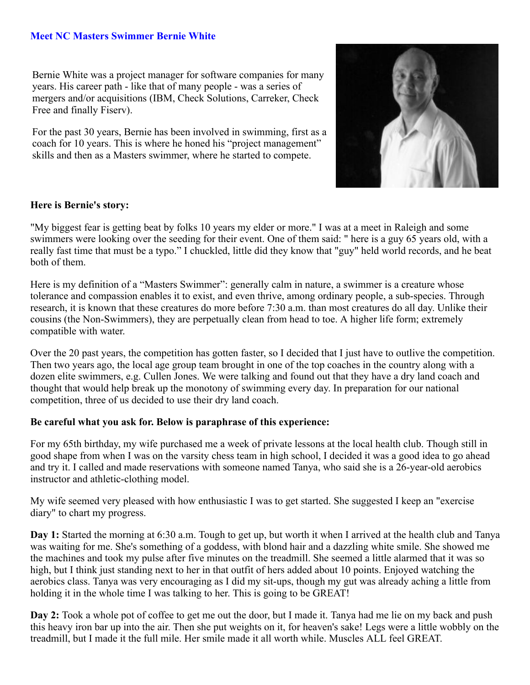## **Meet NC Masters Swimmer Bernie White**

Bernie White was a project manager for software companies for many years. His career path - like that of many people - was a series of mergers and/or acquisitions (IBM, Check Solutions, Carreker, Check Free and finally Fiserv).

For the past 30 years, Bernie has been involved in swimming, first as a coach for 10 years. This is where he honed his "project management" skills and then as a Masters swimmer, where he started to compete.



## **Here is Bernie's story:**

"My biggest fear is getting beat by folks 10 years my elder or more." I was at a meet in Raleigh and some swimmers were looking over the seeding for their event. One of them said: " here is a guy 65 years old, with a really fast time that must be a typo." I chuckled, little did they know that "guy" held world records, and he beat both of them.

Here is my definition of a "Masters Swimmer": generally calm in nature, a swimmer is a creature whose tolerance and compassion enables it to exist, and even thrive, among ordinary people, a sub-species. Through research, it is known that these creatures do more before 7:30 a.m. than most creatures do all day. Unlike their cousins (the Non-Swimmers), they are perpetually clean from head to toe. A higher life form; extremely compatible with water.

Over the 20 past years, the competition has gotten faster, so I decided that I just have to outlive the competition. Then two years ago, the local age group team brought in one of the top coaches in the country along with a dozen elite swimmers, e.g. Cullen Jones. We were talking and found out that they have a dry land coach and thought that would help break up the monotony of swimming every day. In preparation for our national competition, three of us decided to use their dry land coach.

## **Be careful what you ask for. Below is paraphrase of this experience:**

For my 65th birthday, my wife purchased me a week of private lessons at the local health club. Though still in good shape from when I was on the varsity chess team in high school, I decided it was a good idea to go ahead and try it. I called and made reservations with someone named Tanya, who said she is a 26-year-old aerobics instructor and athletic-clothing model.

My wife seemed very pleased with how enthusiastic I was to get started. She suggested I keep an "exercise diary" to chart my progress.

**Day 1:** Started the morning at 6:30 a.m. Tough to get up, but worth it when I arrived at the health club and Tanya was waiting for me. She's something of a goddess, with blond hair and a dazzling white smile. She showed me the machines and took my pulse after five minutes on the treadmill. She seemed a little alarmed that it was so high, but I think just standing next to her in that outfit of hers added about 10 points. Enjoyed watching the aerobics class. Tanya was very encouraging as I did my sit-ups, though my gut was already aching a little from holding it in the whole time I was talking to her. This is going to be GREAT!

**Day 2:** Took a whole pot of coffee to get me out the door, but I made it. Tanya had me lie on my back and push this heavy iron bar up into the air. Then she put weights on it, for heaven's sake! Legs were a little wobbly on the treadmill, but I made it the full mile. Her smile made it all worth while. Muscles ALL feel GREAT.